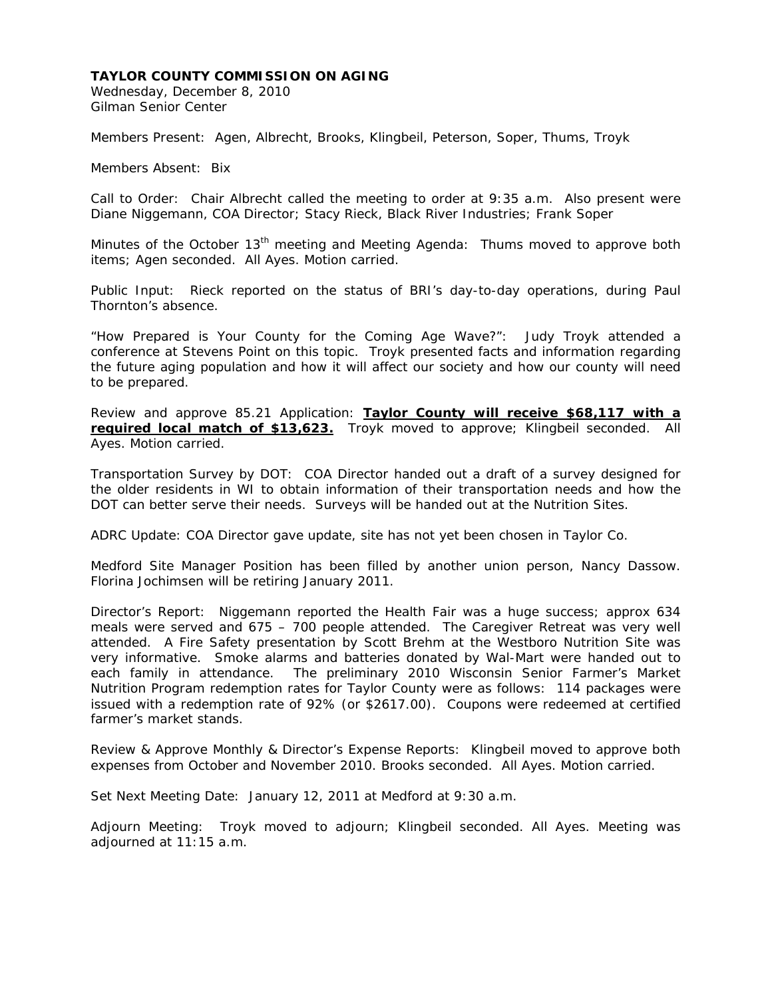Wednesday, December 8, 2010 Gilman Senior Center

Members Present: Agen, Albrecht, Brooks, Klingbeil, Peterson, Soper, Thums, Troyk

Members Absent: Bix

Call to Order: Chair Albrecht called the meeting to order at 9:35 a.m. Also present were Diane Niggemann, COA Director; Stacy Rieck, Black River Industries; Frank Soper

Minutes of the October 13<sup>th</sup> meeting and Meeting Agenda: Thums moved to approve both items; Agen seconded. All Ayes. Motion carried.

Public Input: Rieck reported on the status of BRI's day-to-day operations, during Paul Thornton's absence.

"How Prepared is Your County for the Coming Age Wave?": Judy Troyk attended a conference at Stevens Point on this topic. Troyk presented facts and information regarding the future aging population and how it will affect our society and how our county will need to be prepared.

Review and approve 85.21 Application: **Taylor County will receive \$68,117 with a required local match of \$13,623.** Troyk moved to approve; Klingbeil seconded. All Ayes. Motion carried.

Transportation Survey by DOT: COA Director handed out a draft of a survey designed for the older residents in WI to obtain information of their transportation needs and how the DOT can better serve their needs. Surveys will be handed out at the Nutrition Sites.

ADRC Update: COA Director gave update, site has not yet been chosen in Taylor Co.

Medford Site Manager Position has been filled by another union person, Nancy Dassow. Florina Jochimsen will be retiring January 2011.

Director's Report: Niggemann reported the Health Fair was a huge success; approx 634 meals were served and 675 – 700 people attended. The Caregiver Retreat was very well attended. A Fire Safety presentation by Scott Brehm at the Westboro Nutrition Site was very informative. Smoke alarms and batteries donated by Wal-Mart were handed out to each family in attendance. The preliminary 2010 Wisconsin Senior Farmer's Market Nutrition Program redemption rates for Taylor County were as follows: 114 packages were issued with a redemption rate of 92% (or \$2617.00). Coupons were redeemed at certified farmer's market stands.

Review & Approve Monthly & Director's Expense Reports: Klingbeil moved to approve both expenses from October and November 2010. Brooks seconded. All Ayes. Motion carried.

Set Next Meeting Date: January 12, 2011 at Medford at 9:30 a.m.

Adjourn Meeting: Troyk moved to adjourn; Klingbeil seconded. All Ayes. Meeting was adjourned at 11:15 a.m.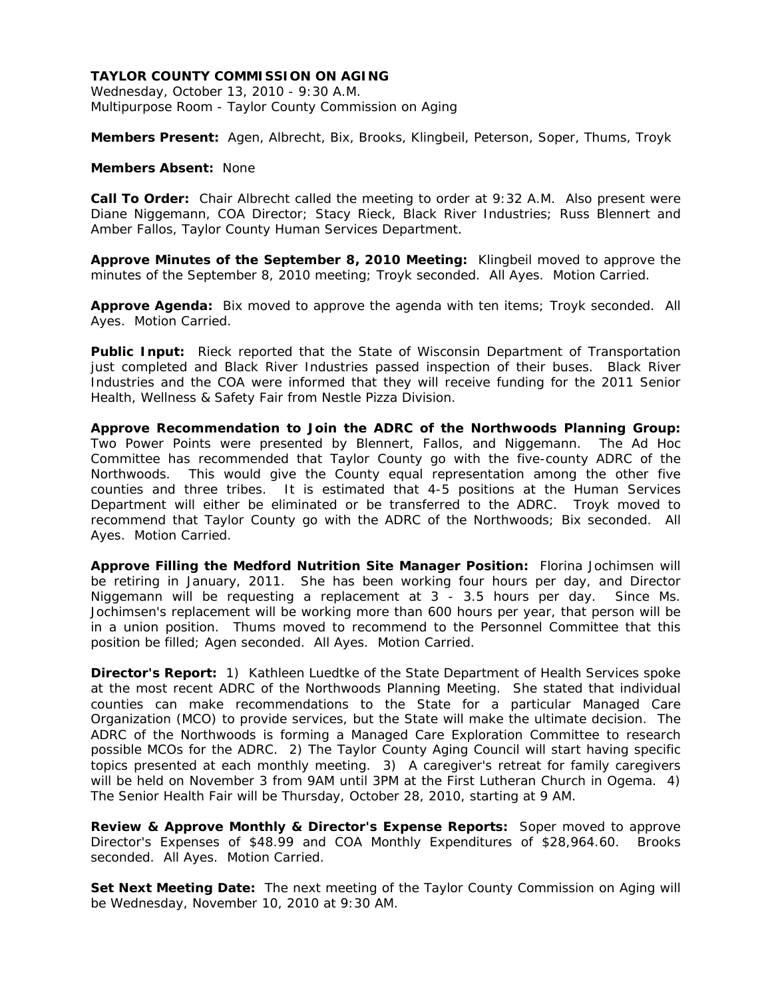Wednesday, October 13, 2010 - 9:30 A.M. Multipurpose Room - Taylor County Commission on Aging

**Members Present:** Agen, Albrecht, Bix, Brooks, Klingbeil, Peterson, Soper, Thums, Troyk

## **Members Absent:** None

**Call To Order:** Chair Albrecht called the meeting to order at 9:32 A.M. Also present were Diane Niggemann, COA Director; Stacy Rieck, Black River Industries; Russ Blennert and Amber Fallos, Taylor County Human Services Department.

**Approve Minutes of the September 8, 2010 Meeting:** Klingbeil moved to approve the minutes of the September 8, 2010 meeting; Troyk seconded. All Ayes. Motion Carried.

**Approve Agenda:** Bix moved to approve the agenda with ten items; Troyk seconded. All Ayes. Motion Carried.

**Public Input:** Rieck reported that the State of Wisconsin Department of Transportation just completed and Black River Industries passed inspection of their buses. Black River Industries and the COA were informed that they will receive funding for the 2011 Senior Health, Wellness & Safety Fair from Nestle Pizza Division.

**Approve Recommendation to Join the ADRC of the Northwoods Planning Group:**  Two Power Points were presented by Blennert, Fallos, and Niggemann. The Ad Hoc Committee has recommended that Taylor County go with the five-county ADRC of the Northwoods. This would give the County equal representation among the other five counties and three tribes. It is estimated that 4-5 positions at the Human Services Department will either be eliminated or be transferred to the ADRC. Troyk moved to recommend that Taylor County go with the ADRC of the Northwoods; Bix seconded. All Ayes. Motion Carried.

**Approve Filling the Medford Nutrition Site Manager Position:** Florina Jochimsen will be retiring in January, 2011. She has been working four hours per day, and Director Niggemann will be requesting a replacement at 3 - 3.5 hours per day. Since Ms. Jochimsen's replacement will be working more than 600 hours per year, that person will be in a union position. Thums moved to recommend to the Personnel Committee that this position be filled; Agen seconded. All Ayes. Motion Carried.

**Director's Report:** 1) Kathleen Luedtke of the State Department of Health Services spoke at the most recent ADRC of the Northwoods Planning Meeting. She stated that individual counties can make recommendations to the State for a particular Managed Care Organization (MCO) to provide services, but the State will make the ultimate decision. The ADRC of the Northwoods is forming a Managed Care Exploration Committee to research possible MCOs for the ADRC. 2) The Taylor County Aging Council will start having specific topics presented at each monthly meeting. 3) A caregiver's retreat for family caregivers will be held on November 3 from 9AM until 3PM at the First Lutheran Church in Ogema. 4) The Senior Health Fair will be Thursday, October 28, 2010, starting at 9 AM.

**Review & Approve Monthly & Director's Expense Reports:** Soper moved to approve Director's Expenses of \$48.99 and COA Monthly Expenditures of \$28,964.60. Brooks seconded. All Ayes. Motion Carried.

**Set Next Meeting Date:** The next meeting of the Taylor County Commission on Aging will be Wednesday, November 10, 2010 at 9:30 AM.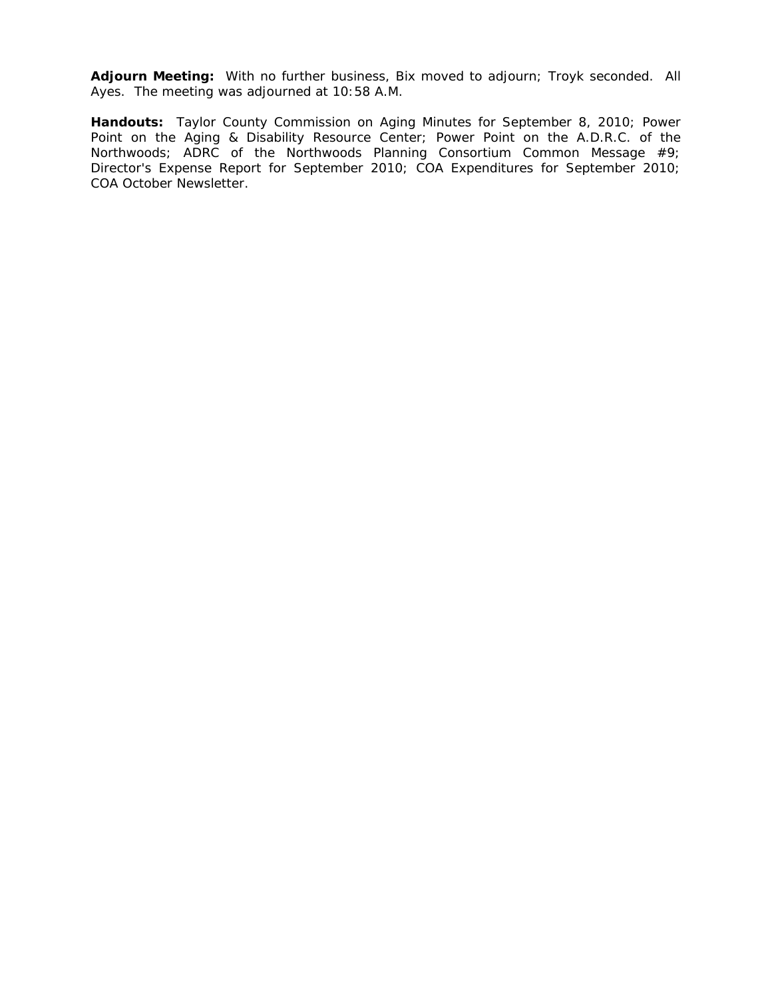**Adjourn Meeting:** With no further business, Bix moved to adjourn; Troyk seconded. All Ayes. The meeting was adjourned at 10:58 A.M.

**Handouts:** Taylor County Commission on Aging Minutes for September 8, 2010; Power Point on the Aging & Disability Resource Center; Power Point on the A.D.R.C. of the Northwoods; ADRC of the Northwoods Planning Consortium Common Message #9; Director's Expense Report for September 2010; COA Expenditures for September 2010; COA October Newsletter.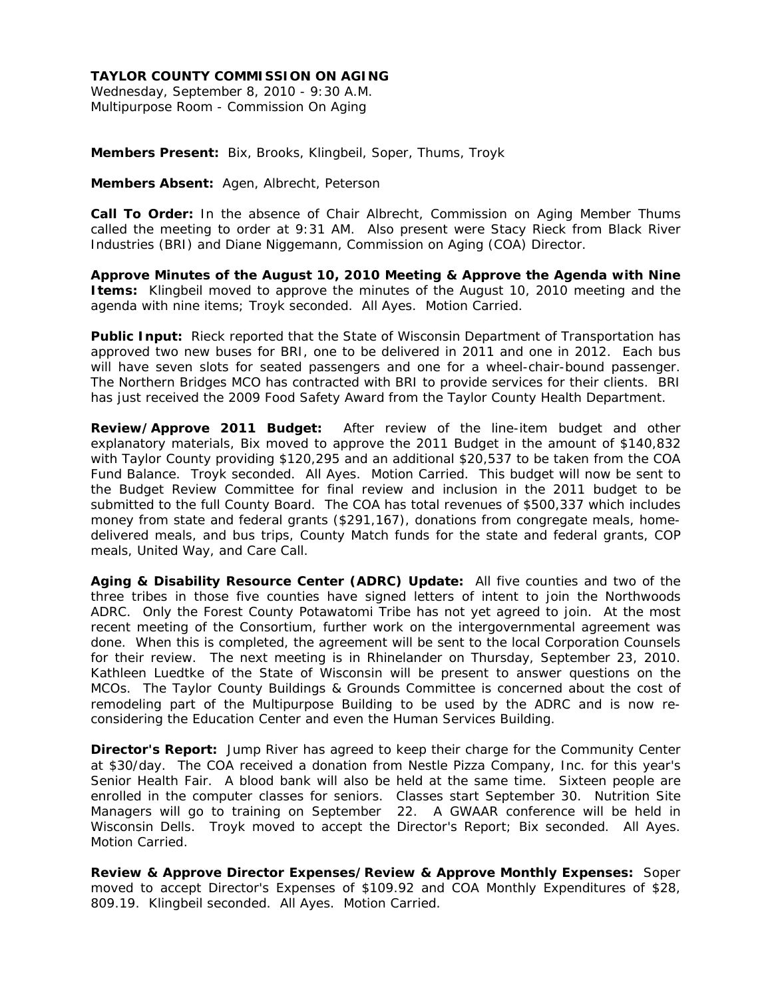Wednesday, September 8, 2010 - 9:30 A.M. Multipurpose Room - Commission On Aging

**Members Present:** Bix, Brooks, Klingbeil, Soper, Thums, Troyk

**Members Absent:** Agen, Albrecht, Peterson

**Call To Order:** In the absence of Chair Albrecht, Commission on Aging Member Thums called the meeting to order at 9:31 AM. Also present were Stacy Rieck from Black River Industries (BRI) and Diane Niggemann, Commission on Aging (COA) Director.

**Approve Minutes of the August 10, 2010 Meeting & Approve the Agenda with Nine Items:** Klingbeil moved to approve the minutes of the August 10, 2010 meeting and the agenda with nine items; Troyk seconded. All Ayes. Motion Carried.

**Public Input:** Rieck reported that the State of Wisconsin Department of Transportation has approved two new buses for BRI, one to be delivered in 2011 and one in 2012. Each bus will have seven slots for seated passengers and one for a wheel-chair-bound passenger. The Northern Bridges MCO has contracted with BRI to provide services for their clients. BRI has just received the 2009 Food Safety Award from the Taylor County Health Department.

**Review/Approve 2011 Budget:** After review of the line-item budget and other explanatory materials, Bix moved to approve the 2011 Budget in the amount of \$140,832 with Taylor County providing \$120,295 and an additional \$20,537 to be taken from the COA Fund Balance. Troyk seconded. All Ayes. Motion Carried. This budget will now be sent to the Budget Review Committee for final review and inclusion in the 2011 budget to be submitted to the full County Board. The COA has total revenues of \$500,337 which includes money from state and federal grants (\$291,167), donations from congregate meals, homedelivered meals, and bus trips, County Match funds for the state and federal grants, COP meals, United Way, and Care Call.

**Aging & Disability Resource Center (ADRC) Update:** All five counties and two of the three tribes in those five counties have signed letters of intent to join the Northwoods ADRC. Only the Forest County Potawatomi Tribe has not yet agreed to join. At the most recent meeting of the Consortium, further work on the intergovernmental agreement was done. When this is completed, the agreement will be sent to the local Corporation Counsels for their review. The next meeting is in Rhinelander on Thursday, September 23, 2010. Kathleen Luedtke of the State of Wisconsin will be present to answer questions on the MCOs. The Taylor County Buildings & Grounds Committee is concerned about the cost of remodeling part of the Multipurpose Building to be used by the ADRC and is now reconsidering the Education Center and even the Human Services Building.

**Director's Report:** Jump River has agreed to keep their charge for the Community Center at \$30/day. The COA received a donation from Nestle Pizza Company, Inc. for this year's Senior Health Fair. A blood bank will also be held at the same time. Sixteen people are enrolled in the computer classes for seniors. Classes start September 30. Nutrition Site Managers will go to training on September 22. A GWAAR conference will be held in Wisconsin Dells. Troyk moved to accept the Director's Report; Bix seconded. All Ayes. Motion Carried.

**Review & Approve Director Expenses/Review & Approve Monthly Expenses:** Soper moved to accept Director's Expenses of \$109.92 and COA Monthly Expenditures of \$28, 809.19. Klingbeil seconded. All Ayes. Motion Carried.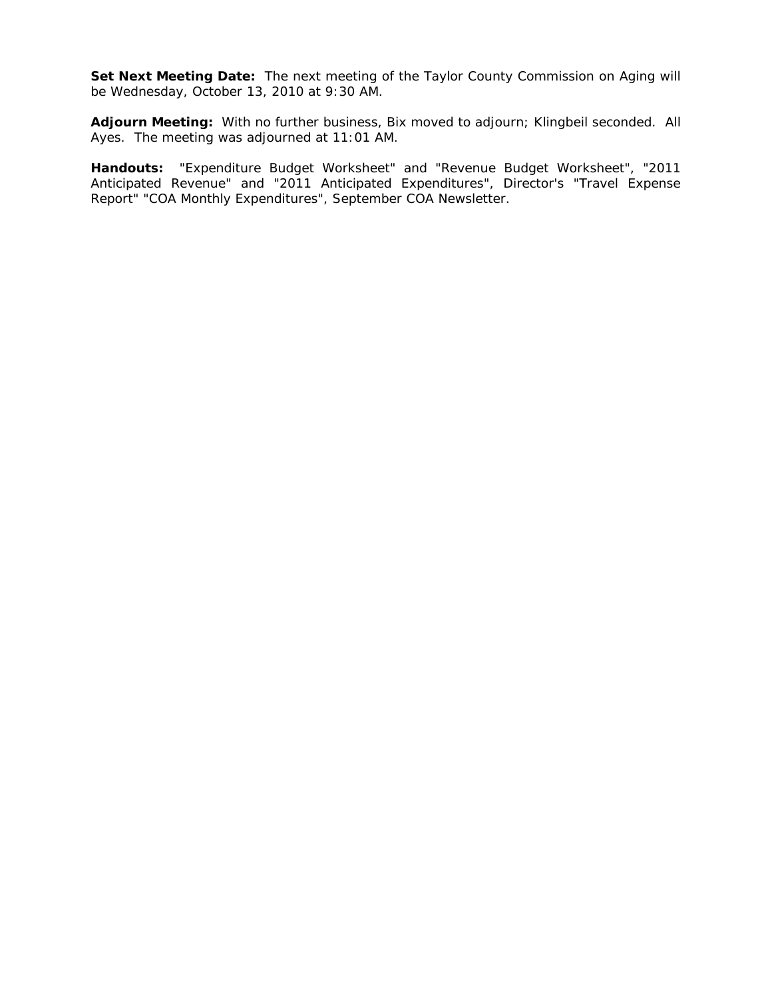Set Next Meeting Date: The next meeting of the Taylor County Commission on Aging will be Wednesday, October 13, 2010 at 9:30 AM.

**Adjourn Meeting:** With no further business, Bix moved to adjourn; Klingbeil seconded. All Ayes. The meeting was adjourned at 11:01 AM.

**Handouts:** "Expenditure Budget Worksheet" and "Revenue Budget Worksheet", "2011 Anticipated Revenue" and "2011 Anticipated Expenditures", Director's "Travel Expense Report" "COA Monthly Expenditures", September COA Newsletter.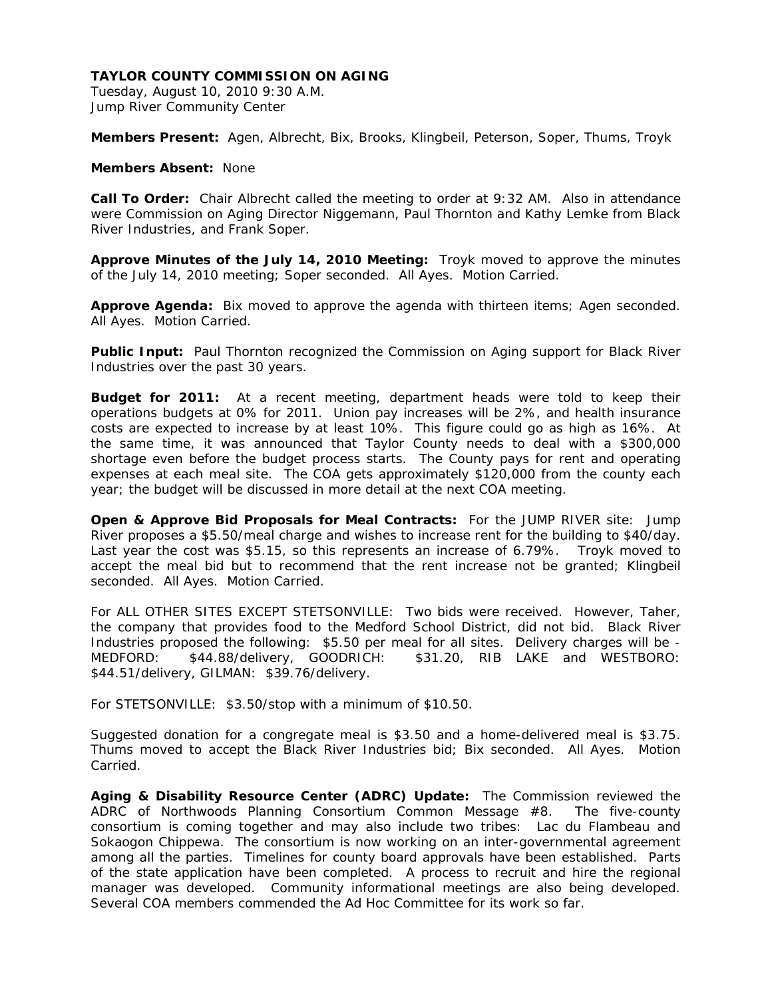Tuesday, August 10, 2010 9:30 A.M. Jump River Community Center

**Members Present:** Agen, Albrecht, Bix, Brooks, Klingbeil, Peterson, Soper, Thums, Troyk

### **Members Absent:** None

**Call To Order:** Chair Albrecht called the meeting to order at 9:32 AM. Also in attendance were Commission on Aging Director Niggemann, Paul Thornton and Kathy Lemke from Black River Industries, and Frank Soper.

**Approve Minutes of the July 14, 2010 Meeting:** Troyk moved to approve the minutes of the July 14, 2010 meeting; Soper seconded. All Ayes. Motion Carried.

**Approve Agenda:** Bix moved to approve the agenda with thirteen items; Agen seconded. All Ayes. Motion Carried.

**Public Input:** Paul Thornton recognized the Commission on Aging support for Black River Industries over the past 30 years.

**Budget for 2011:** At a recent meeting, department heads were told to keep their operations budgets at 0% for 2011. Union pay increases will be 2%, and health insurance costs are expected to increase by at least 10%. This figure could go as high as 16%. At the same time, it was announced that Taylor County needs to deal with a \$300,000 shortage even before the budget process starts. The County pays for rent and operating expenses at each meal site. The COA gets approximately \$120,000 from the county each year; the budget will be discussed in more detail at the next COA meeting.

**Open & Approve Bid Proposals for Meal Contracts:** For the JUMP RIVER site: Jump River proposes a \$5.50/meal charge and wishes to increase rent for the building to \$40/day. Last year the cost was \$5.15, so this represents an increase of 6.79%. Troyk moved to accept the meal bid but to recommend that the rent increase not be granted; Klingbeil seconded. All Ayes. Motion Carried.

For ALL OTHER SITES EXCEPT STETSONVILLE: Two bids were received. However, Taher, the company that provides food to the Medford School District, did not bid. Black River Industries proposed the following: \$5.50 per meal for all sites. Delivery charges will be - MEDFORD: \$44.88/delivery, GOODRICH: \$31.20, RIB LAKE and WESTBORO: \$44.51/delivery, GILMAN: \$39.76/delivery.

For STETSONVILLE: \$3.50/stop with a minimum of \$10.50.

Suggested donation for a congregate meal is \$3.50 and a home-delivered meal is \$3.75. Thums moved to accept the Black River Industries bid; Bix seconded. All Ayes. Motion Carried.

**Aging & Disability Resource Center (ADRC) Update:** The Commission reviewed the ADRC of Northwoods Planning Consortium Common Message #8. The five-county consortium is coming together and may also include two tribes: Lac du Flambeau and Sokaogon Chippewa. The consortium is now working on an inter-governmental agreement among all the parties. Timelines for county board approvals have been established. Parts of the state application have been completed. A process to recruit and hire the regional manager was developed. Community informational meetings are also being developed. Several COA members commended the Ad Hoc Committee for its work so far.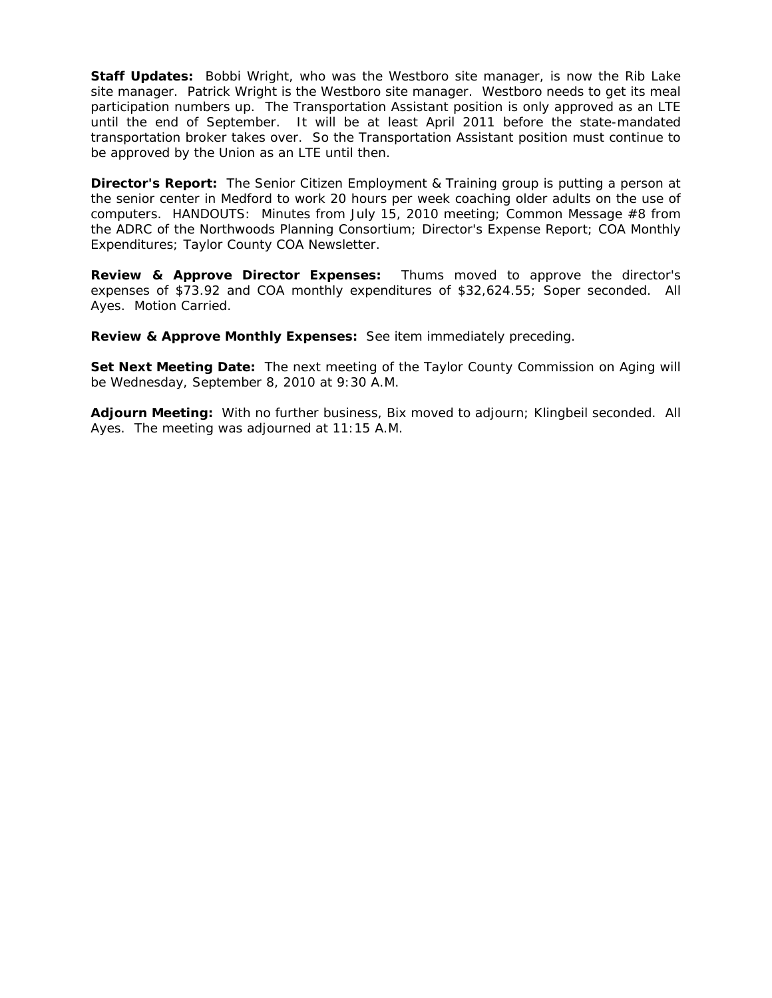**Staff Updates:** Bobbi Wright, who was the Westboro site manager, is now the Rib Lake site manager. Patrick Wright is the Westboro site manager. Westboro needs to get its meal participation numbers up. The Transportation Assistant position is only approved as an LTE until the end of September. It will be at least April 2011 before the state-mandated transportation broker takes over. So the Transportation Assistant position must continue to be approved by the Union as an LTE until then.

**Director's Report:** The Senior Citizen Employment & Training group is putting a person at the senior center in Medford to work 20 hours per week coaching older adults on the use of computers. HANDOUTS: Minutes from July 15, 2010 meeting; Common Message #8 from the ADRC of the Northwoods Planning Consortium; Director's Expense Report; COA Monthly Expenditures; Taylor County COA Newsletter.

**Review & Approve Director Expenses:** Thums moved to approve the director's expenses of \$73.92 and COA monthly expenditures of \$32,624.55; Soper seconded. All Ayes. Motion Carried.

**Review & Approve Monthly Expenses:** See item immediately preceding.

Set Next Meeting Date: The next meeting of the Taylor County Commission on Aging will be Wednesday, September 8, 2010 at 9:30 A.M.

**Adjourn Meeting:** With no further business, Bix moved to adjourn; Klingbeil seconded. All Ayes. The meeting was adjourned at 11:15 A.M.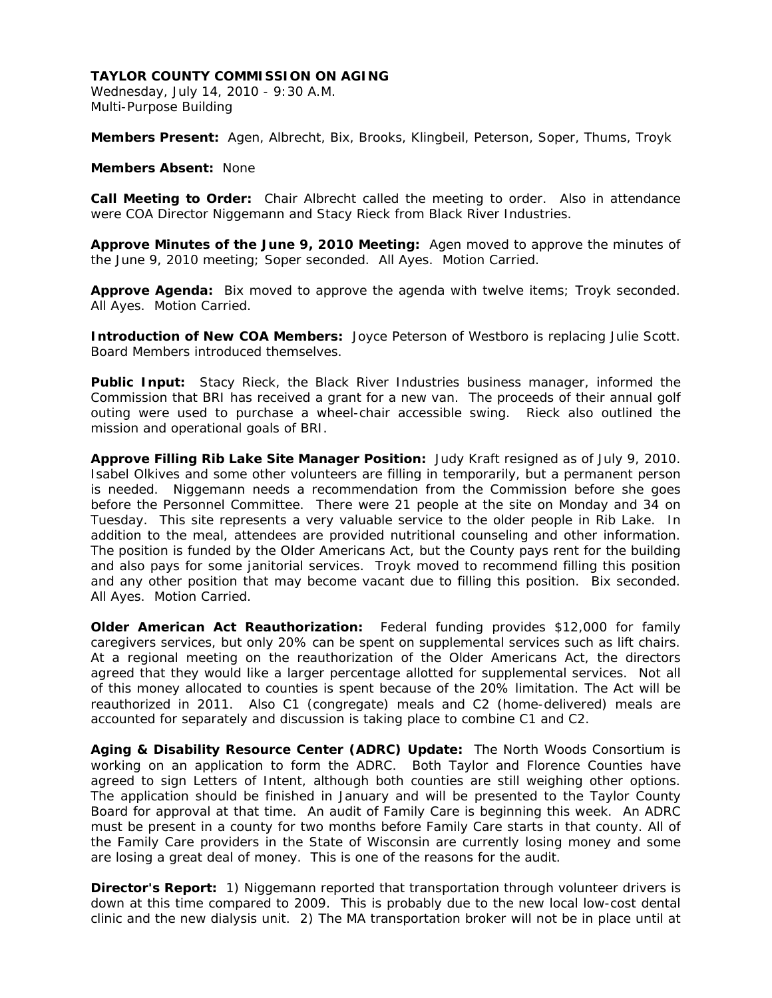Wednesday, July 14, 2010 - 9:30 A.M. Multi-Purpose Building

**Members Present:** Agen, Albrecht, Bix, Brooks, Klingbeil, Peterson, Soper, Thums, Troyk

**Members Absent:** None

**Call Meeting to Order:** Chair Albrecht called the meeting to order. Also in attendance were COA Director Niggemann and Stacy Rieck from Black River Industries.

**Approve Minutes of the June 9, 2010 Meeting:** Agen moved to approve the minutes of the June 9, 2010 meeting; Soper seconded. All Ayes. Motion Carried.

**Approve Agenda:** Bix moved to approve the agenda with twelve items; Troyk seconded. All Ayes. Motion Carried.

**Introduction of New COA Members:** Joyce Peterson of Westboro is replacing Julie Scott. Board Members introduced themselves.

**Public Input:** Stacy Rieck, the Black River Industries business manager, informed the Commission that BRI has received a grant for a new van. The proceeds of their annual golf outing were used to purchase a wheel-chair accessible swing. Rieck also outlined the mission and operational goals of BRI.

**Approve Filling Rib Lake Site Manager Position:** Judy Kraft resigned as of July 9, 2010. Isabel Olkives and some other volunteers are filling in temporarily, but a permanent person is needed. Niggemann needs a recommendation from the Commission before she goes before the Personnel Committee. There were 21 people at the site on Monday and 34 on Tuesday. This site represents a very valuable service to the older people in Rib Lake. In addition to the meal, attendees are provided nutritional counseling and other information. The position is funded by the Older Americans Act, but the County pays rent for the building and also pays for some janitorial services. Troyk moved to recommend filling this position and any other position that may become vacant due to filling this position. Bix seconded. All Ayes. Motion Carried.

**Older American Act Reauthorization:** Federal funding provides \$12,000 for family caregivers services, but only 20% can be spent on supplemental services such as lift chairs. At a regional meeting on the reauthorization of the Older Americans Act, the directors agreed that they would like a larger percentage allotted for supplemental services. Not all of this money allocated to counties is spent because of the 20% limitation. The Act will be reauthorized in 2011. Also C1 (congregate) meals and C2 (home-delivered) meals are accounted for separately and discussion is taking place to combine C1 and C2.

**Aging & Disability Resource Center (ADRC) Update:** The North Woods Consortium is working on an application to form the ADRC. Both Taylor and Florence Counties have agreed to sign Letters of Intent, although both counties are still weighing other options. The application should be finished in January and will be presented to the Taylor County Board for approval at that time. An audit of Family Care is beginning this week. An ADRC must be present in a county for two months before Family Care starts in that county. All of the Family Care providers in the State of Wisconsin are currently losing money and some are losing a great deal of money. This is one of the reasons for the audit.

**Director's Report:** 1) Niggemann reported that transportation through volunteer drivers is down at this time compared to 2009. This is probably due to the new local low-cost dental clinic and the new dialysis unit. 2) The MA transportation broker will not be in place until at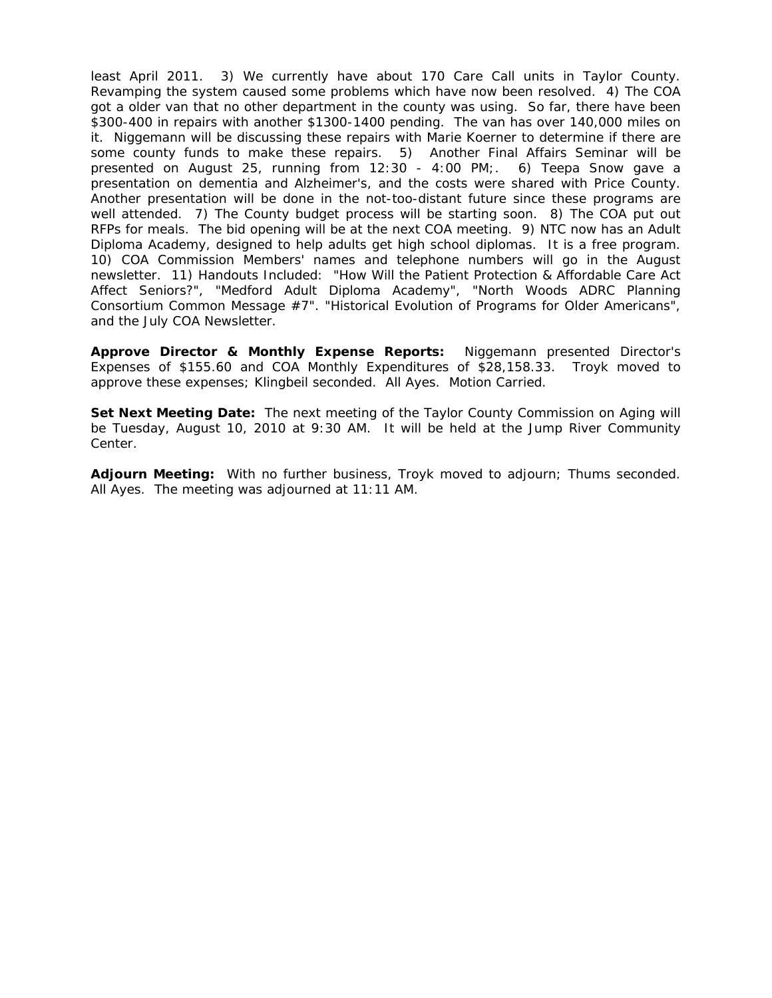least April 2011. 3) We currently have about 170 Care Call units in Taylor County. Revamping the system caused some problems which have now been resolved. 4) The COA got a older van that no other department in the county was using. So far, there have been \$300-400 in repairs with another \$1300-1400 pending. The van has over 140,000 miles on it. Niggemann will be discussing these repairs with Marie Koerner to determine if there are some county funds to make these repairs. 5) Another Final Affairs Seminar will be presented on August 25, running from 12:30 - 4:00 PM;. 6) Teepa Snow gave a presentation on dementia and Alzheimer's, and the costs were shared with Price County. Another presentation will be done in the not-too-distant future since these programs are well attended. 7) The County budget process will be starting soon. 8) The COA put out RFPs for meals. The bid opening will be at the next COA meeting. 9) NTC now has an Adult Diploma Academy, designed to help adults get high school diplomas. It is a free program. 10) COA Commission Members' names and telephone numbers will go in the August newsletter. 11) Handouts Included: "How Will the Patient Protection & Affordable Care Act Affect Seniors?", "Medford Adult Diploma Academy", "North Woods ADRC Planning Consortium Common Message #7". "Historical Evolution of Programs for Older Americans", and the July COA Newsletter.

**Approve Director & Monthly Expense Reports:** Niggemann presented Director's Expenses of \$155.60 and COA Monthly Expenditures of \$28,158.33. Troyk moved to approve these expenses; Klingbeil seconded. All Ayes. Motion Carried.

**Set Next Meeting Date:** The next meeting of the Taylor County Commission on Aging will be Tuesday, August 10, 2010 at 9:30 AM. It will be held at the Jump River Community Center.

**Adjourn Meeting:** With no further business, Troyk moved to adjourn; Thums seconded. All Ayes. The meeting was adjourned at 11:11 AM.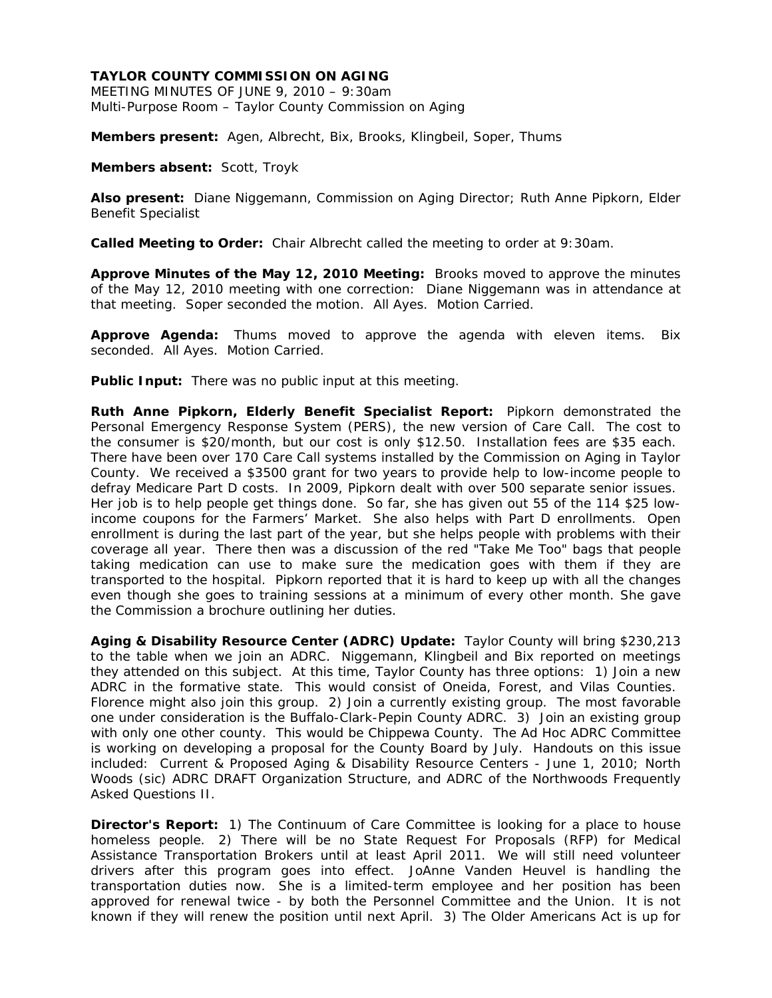MEETING MINUTES OF JUNE 9, 2010 – 9:30am Multi-Purpose Room – Taylor County Commission on Aging

**Members present:** Agen, Albrecht, Bix, Brooks, Klingbeil, Soper, Thums

**Members absent:** Scott, Troyk

**Also present:** Diane Niggemann, Commission on Aging Director; Ruth Anne Pipkorn, Elder Benefit Specialist

**Called Meeting to Order:** Chair Albrecht called the meeting to order at 9:30am.

**Approve Minutes of the May 12, 2010 Meeting:** Brooks moved to approve the minutes of the May 12, 2010 meeting with one correction: Diane Niggemann was in attendance at that meeting. Soper seconded the motion. All Ayes. Motion Carried.

**Approve Agenda:** Thums moved to approve the agenda with eleven items. Bix seconded. All Ayes. Motion Carried.

**Public Input:** There was no public input at this meeting.

**Ruth Anne Pipkorn, Elderly Benefit Specialist Report:** Pipkorn demonstrated the Personal Emergency Response System (PERS), the new version of Care Call. The cost to the consumer is \$20/month, but our cost is only \$12.50. Installation fees are \$35 each. There have been over 170 Care Call systems installed by the Commission on Aging in Taylor County. We received a \$3500 grant for two years to provide help to low-income people to defray Medicare Part D costs. In 2009, Pipkorn dealt with over 500 separate senior issues. Her job is to help people get things done. So far, she has given out 55 of the 114 \$25 lowincome coupons for the Farmers' Market. She also helps with Part D enrollments. Open enrollment is during the last part of the year, but she helps people with problems with their coverage all year. There then was a discussion of the red "Take Me Too" bags that people taking medication can use to make sure the medication goes with them if they are transported to the hospital. Pipkorn reported that it is hard to keep up with all the changes even though she goes to training sessions at a minimum of every other month. She gave the Commission a brochure outlining her duties.

**Aging & Disability Resource Center (ADRC) Update:** Taylor County will bring \$230,213 to the table when we join an ADRC. Niggemann, Klingbeil and Bix reported on meetings they attended on this subject. At this time, Taylor County has three options: 1) Join a new ADRC in the formative state. This would consist of Oneida, Forest, and Vilas Counties. Florence might also join this group. 2) Join a currently existing group. The most favorable one under consideration is the Buffalo-Clark-Pepin County ADRC. 3) Join an existing group with only one other county. This would be Chippewa County. The Ad Hoc ADRC Committee is working on developing a proposal for the County Board by July. Handouts on this issue included: Current & Proposed Aging & Disability Resource Centers - June 1, 2010; North Woods (sic) ADRC DRAFT Organization Structure, and ADRC of the Northwoods Frequently Asked Questions II.

**Director's Report:** 1) The Continuum of Care Committee is looking for a place to house homeless people. 2) There will be no State Request For Proposals (RFP) for Medical Assistance Transportation Brokers until at least April 2011. We will still need volunteer drivers after this program goes into effect. JoAnne Vanden Heuvel is handling the transportation duties now. She is a limited-term employee and her position has been approved for renewal twice - by both the Personnel Committee and the Union. It is not known if they will renew the position until next April. 3) The Older Americans Act is up for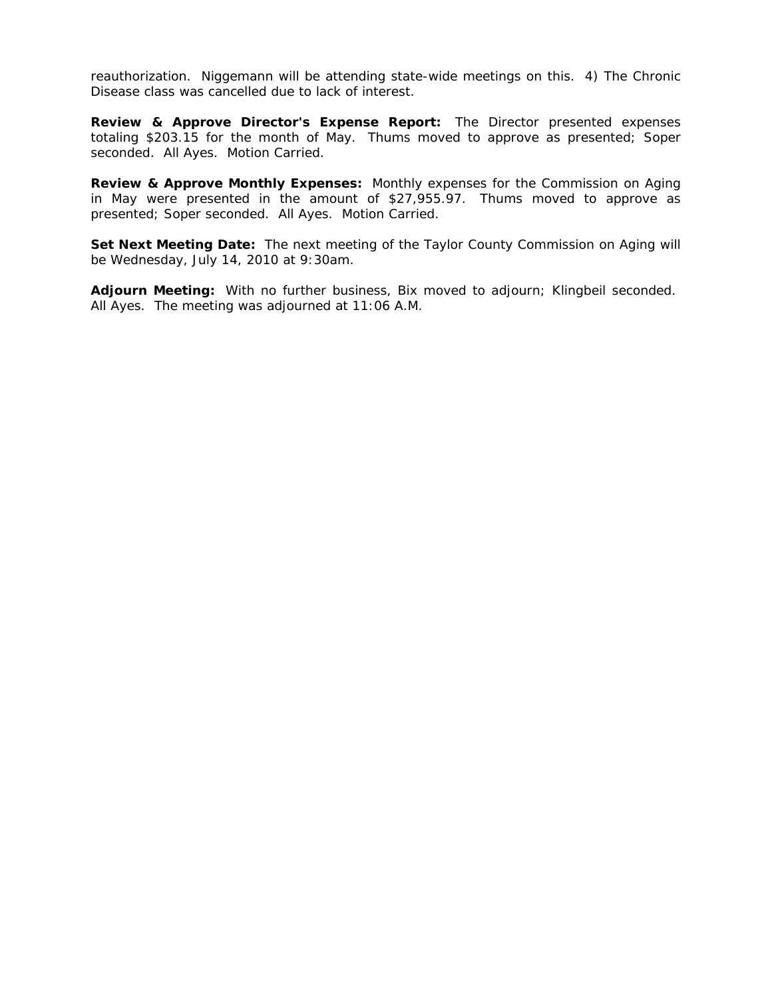reauthorization. Niggemann will be attending state-wide meetings on this. 4) The Chronic Disease class was cancelled due to lack of interest.

**Review & Approve Director's Expense Report:** The Director presented expenses totaling \$203.15 for the month of May. Thums moved to approve as presented; Soper seconded. All Ayes. Motion Carried.

**Review & Approve Monthly Expenses:** Monthly expenses for the Commission on Aging in May were presented in the amount of \$27,955.97. Thums moved to approve as presented; Soper seconded. All Ayes. Motion Carried.

**Set Next Meeting Date:** The next meeting of the Taylor County Commission on Aging will be Wednesday, July 14, 2010 at 9:30am.

**Adjourn Meeting:** With no further business, Bix moved to adjourn; Klingbeil seconded. All Ayes. The meeting was adjourned at 11:06 A.M.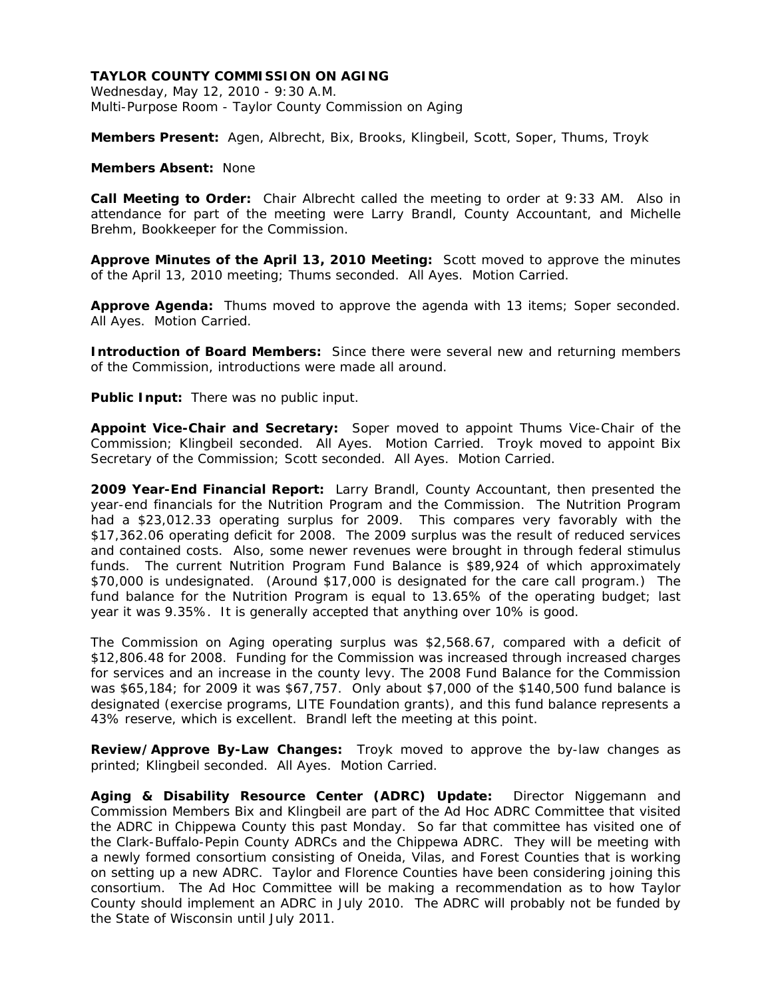Wednesday, May 12, 2010 - 9:30 A.M. Multi-Purpose Room - Taylor County Commission on Aging

**Members Present:** Agen, Albrecht, Bix, Brooks, Klingbeil, Scott, Soper, Thums, Troyk

## **Members Absent:** None

**Call Meeting to Order:** Chair Albrecht called the meeting to order at 9:33 AM. Also in attendance for part of the meeting were Larry Brandl, County Accountant, and Michelle Brehm, Bookkeeper for the Commission.

**Approve Minutes of the April 13, 2010 Meeting:** Scott moved to approve the minutes of the April 13, 2010 meeting; Thums seconded. All Ayes. Motion Carried.

**Approve Agenda:** Thums moved to approve the agenda with 13 items; Soper seconded. All Ayes. Motion Carried.

**Introduction of Board Members:** Since there were several new and returning members of the Commission, introductions were made all around.

**Public Input:** There was no public input.

**Appoint Vice-Chair and Secretary:** Soper moved to appoint Thums Vice-Chair of the Commission; Klingbeil seconded. All Ayes. Motion Carried. Troyk moved to appoint Bix Secretary of the Commission; Scott seconded. All Ayes. Motion Carried.

**2009 Year-End Financial Report:** Larry Brandl, County Accountant, then presented the year-end financials for the Nutrition Program and the Commission. The Nutrition Program had a \$23,012.33 operating surplus for 2009. This compares very favorably with the \$17,362.06 operating deficit for 2008. The 2009 surplus was the result of reduced services and contained costs. Also, some newer revenues were brought in through federal stimulus funds. The current Nutrition Program Fund Balance is \$89,924 of which approximately \$70,000 is undesignated. (Around \$17,000 is designated for the care call program.) The fund balance for the Nutrition Program is equal to 13.65% of the operating budget; last year it was 9.35%. It is generally accepted that anything over 10% is good.

The Commission on Aging operating surplus was \$2,568.67, compared with a deficit of \$12,806.48 for 2008. Funding for the Commission was increased through increased charges for services and an increase in the county levy. The 2008 Fund Balance for the Commission was \$65,184; for 2009 it was \$67,757. Only about \$7,000 of the \$140,500 fund balance is designated (exercise programs, LITE Foundation grants), and this fund balance represents a 43% reserve, which is excellent. Brandl left the meeting at this point.

**Review/Approve By-Law Changes:** Troyk moved to approve the by-law changes as printed; Klingbeil seconded. All Ayes. Motion Carried.

**Aging & Disability Resource Center (ADRC) Update:** Director Niggemann and Commission Members Bix and Klingbeil are part of the Ad Hoc ADRC Committee that visited the ADRC in Chippewa County this past Monday. So far that committee has visited one of the Clark-Buffalo-Pepin County ADRCs and the Chippewa ADRC. They will be meeting with a newly formed consortium consisting of Oneida, Vilas, and Forest Counties that is working on setting up a new ADRC. Taylor and Florence Counties have been considering joining this consortium. The Ad Hoc Committee will be making a recommendation as to how Taylor County should implement an ADRC in July 2010. The ADRC will probably not be funded by the State of Wisconsin until July 2011.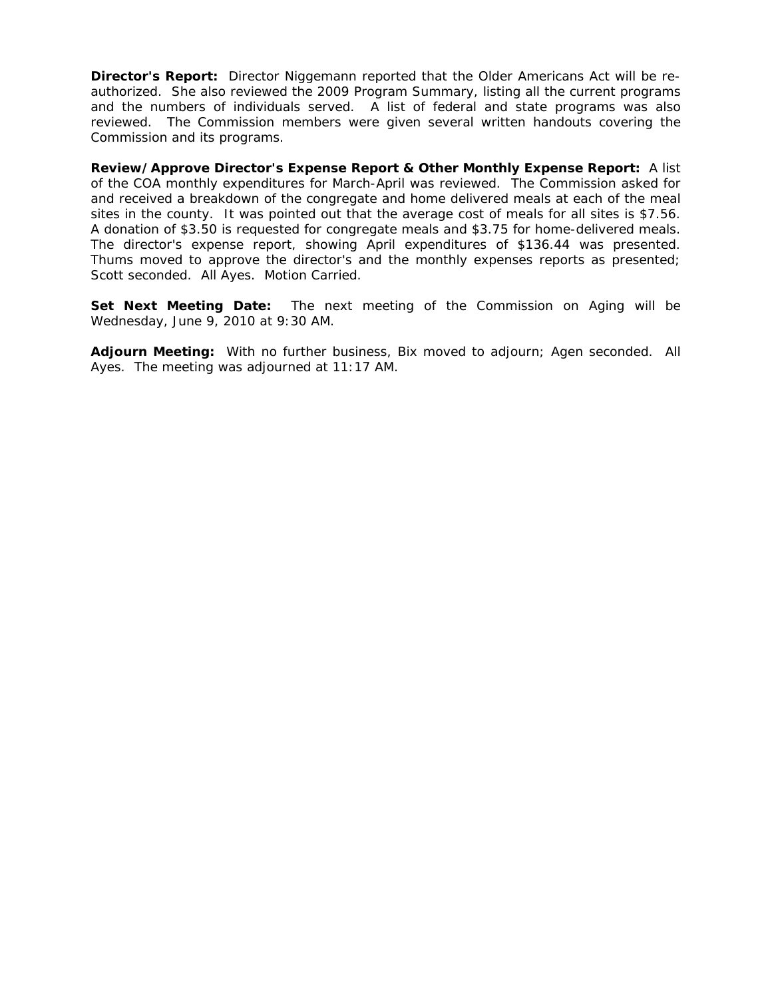**Director's Report:** Director Niggemann reported that the Older Americans Act will be reauthorized. She also reviewed the 2009 Program Summary, listing all the current programs and the numbers of individuals served. A list of federal and state programs was also reviewed. The Commission members were given several written handouts covering the Commission and its programs.

**Review/Approve Director's Expense Report & Other Monthly Expense Report:** A list of the COA monthly expenditures for March-April was reviewed. The Commission asked for and received a breakdown of the congregate and home delivered meals at each of the meal sites in the county. It was pointed out that the average cost of meals for all sites is \$7.56. A donation of \$3.50 is requested for congregate meals and \$3.75 for home-delivered meals. The director's expense report, showing April expenditures of \$136.44 was presented. Thums moved to approve the director's and the monthly expenses reports as presented; Scott seconded. All Ayes. Motion Carried.

**Set Next Meeting Date:** The next meeting of the Commission on Aging will be Wednesday, June 9, 2010 at 9:30 AM.

**Adjourn Meeting:** With no further business, Bix moved to adjourn; Agen seconded. All Ayes. The meeting was adjourned at 11:17 AM.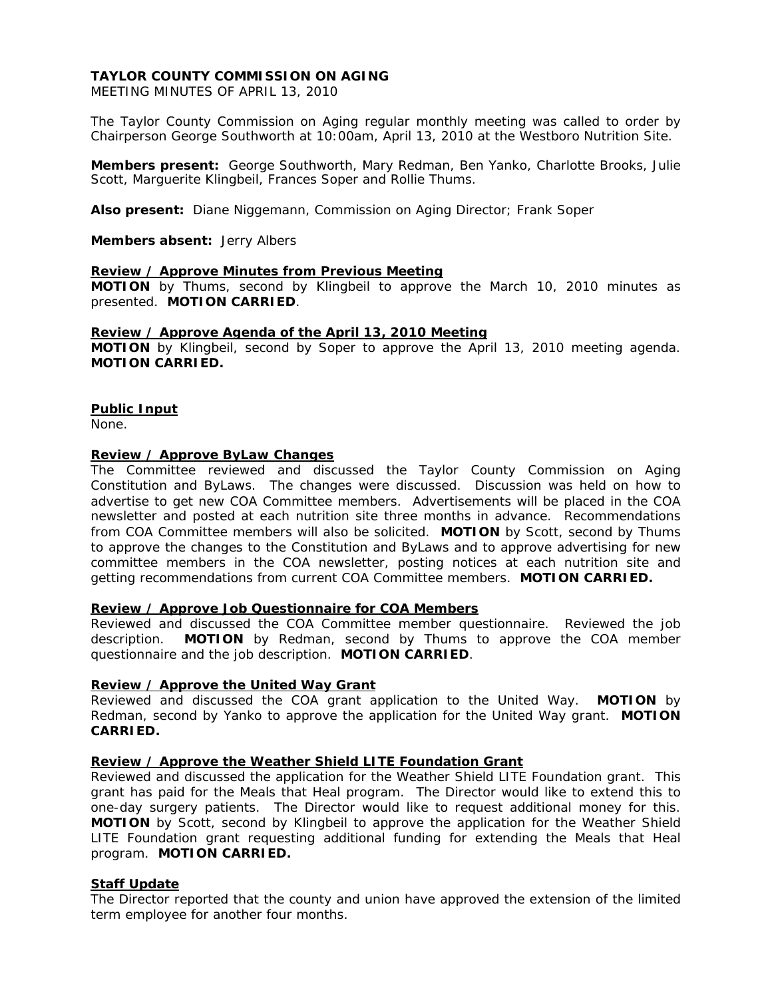MEETING MINUTES OF APRIL 13, 2010

The Taylor County Commission on Aging regular monthly meeting was called to order by Chairperson George Southworth at 10:00am, April 13, 2010 at the Westboro Nutrition Site.

**Members present:** George Southworth, Mary Redman, Ben Yanko, Charlotte Brooks, Julie Scott, Marguerite Klingbeil, Frances Soper and Rollie Thums.

**Also present:** Diane Niggemann, Commission on Aging Director; Frank Soper

**Members absent:** Jerry Albers

### **Review / Approve Minutes from Previous Meeting**

**MOTION** by Thums, second by Klingbeil to approve the March 10, 2010 minutes as presented. **MOTION CARRIED**.

## **Review / Approve Agenda of the April 13, 2010 Meeting**

**MOTION** by Klingbeil, second by Soper to approve the April 13, 2010 meeting agenda. **MOTION CARRIED.** 

## **Public Input**

None.

### **Review / Approve ByLaw Changes**

The Committee reviewed and discussed the Taylor County Commission on Aging Constitution and ByLaws. The changes were discussed. Discussion was held on how to advertise to get new COA Committee members. Advertisements will be placed in the COA newsletter and posted at each nutrition site three months in advance. Recommendations from COA Committee members will also be solicited. **MOTION** by Scott, second by Thums to approve the changes to the Constitution and ByLaws and to approve advertising for new committee members in the COA newsletter, posting notices at each nutrition site and getting recommendations from current COA Committee members. **MOTION CARRIED.**

### **Review / Approve Job Questionnaire for COA Members**

Reviewed and discussed the COA Committee member questionnaire. Reviewed the job description. **MOTION** by Redman, second by Thums to approve the COA member questionnaire and the job description. **MOTION CARRIED**.

### **Review / Approve the United Way Grant**

Reviewed and discussed the COA grant application to the United Way. **MOTION** by Redman, second by Yanko to approve the application for the United Way grant. **MOTION CARRIED.**

### **Review / Approve the Weather Shield LITE Foundation Grant**

Reviewed and discussed the application for the Weather Shield LITE Foundation grant. This grant has paid for the Meals that Heal program. The Director would like to extend this to one-day surgery patients. The Director would like to request additional money for this. **MOTION** by Scott, second by Klingbeil to approve the application for the Weather Shield LITE Foundation grant requesting additional funding for extending the Meals that Heal program. **MOTION CARRIED.** 

# **Staff Update**

The Director reported that the county and union have approved the extension of the limited term employee for another four months.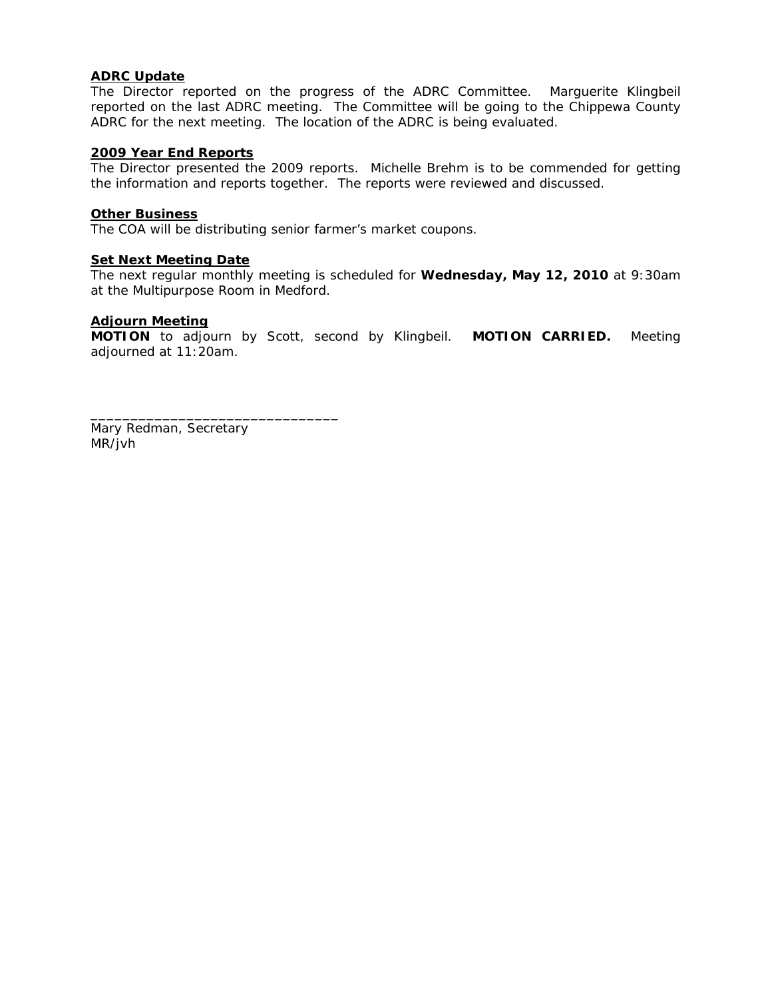# **ADRC Update**

The Director reported on the progress of the ADRC Committee. Marguerite Klingbeil reported on the last ADRC meeting. The Committee will be going to the Chippewa County ADRC for the next meeting. The location of the ADRC is being evaluated.

## **2009 Year End Reports**

The Director presented the 2009 reports. Michelle Brehm is to be commended for getting the information and reports together. The reports were reviewed and discussed.

## **Other Business**

The COA will be distributing senior farmer's market coupons.

## **Set Next Meeting Date**

The next regular monthly meeting is scheduled for **Wednesday, May 12, 2010** at 9:30am at the Multipurpose Room in Medford.

### **Adjourn Meeting**

**MOTION** to adjourn by Scott, second by Klingbeil. **MOTION CARRIED.** Meeting adjourned at 11:20am.

Mary Redman, Secretary MR/jvh

\_\_\_\_\_\_\_\_\_\_\_\_\_\_\_\_\_\_\_\_\_\_\_\_\_\_\_\_\_\_\_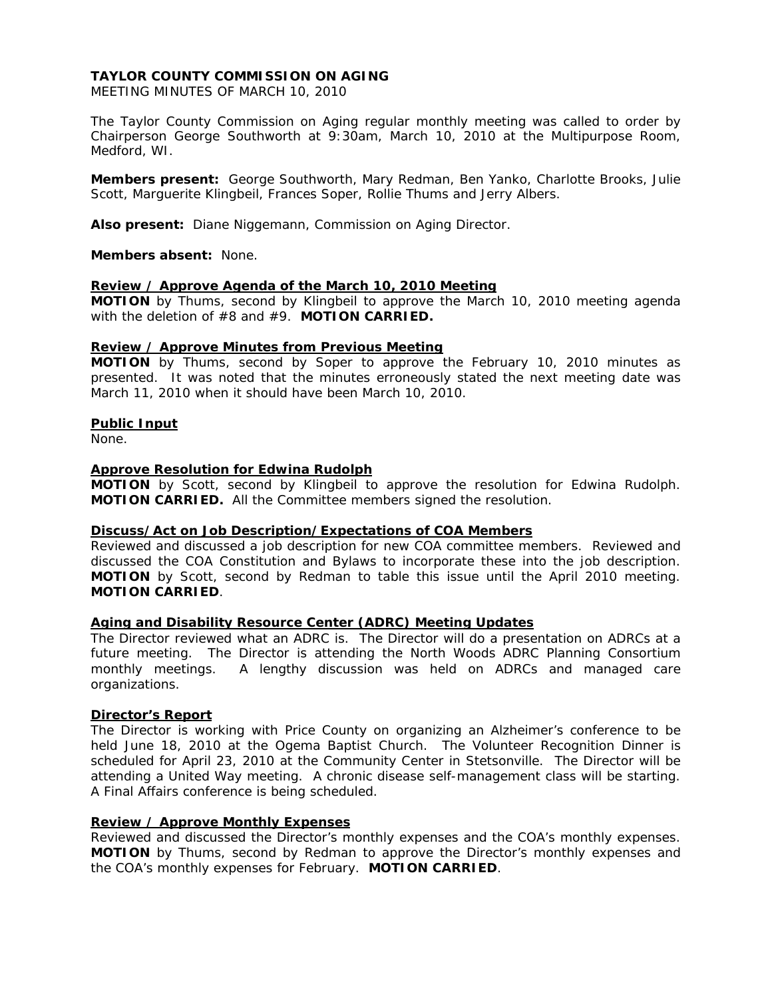MEETING MINUTES OF MARCH 10, 2010

The Taylor County Commission on Aging regular monthly meeting was called to order by Chairperson George Southworth at 9:30am, March 10, 2010 at the Multipurpose Room, Medford, WI.

**Members present:** George Southworth, Mary Redman, Ben Yanko, Charlotte Brooks, Julie Scott, Marguerite Klingbeil, Frances Soper, Rollie Thums and Jerry Albers.

**Also present:** Diane Niggemann, Commission on Aging Director.

**Members absent:** None.

## **Review / Approve Agenda of the March 10, 2010 Meeting**

**MOTION** by Thums, second by Klingbeil to approve the March 10, 2010 meeting agenda with the deletion of #8 and #9. **MOTION CARRIED.** 

### **Review / Approve Minutes from Previous Meeting**

**MOTION** by Thums, second by Soper to approve the February 10, 2010 minutes as presented. It was noted that the minutes erroneously stated the next meeting date was March 11, 2010 when it should have been March 10, 2010.

### **Public Input**

None.

### **Approve Resolution for Edwina Rudolph**

**MOTION** by Scott, second by Klingbeil to approve the resolution for Edwina Rudolph. **MOTION CARRIED.** All the Committee members signed the resolution.

### **Discuss/Act on Job Description/Expectations of COA Members**

Reviewed and discussed a job description for new COA committee members. Reviewed and discussed the COA Constitution and Bylaws to incorporate these into the job description. **MOTION** by Scott, second by Redman to table this issue until the April 2010 meeting. **MOTION CARRIED**.

## **Aging and Disability Resource Center (ADRC) Meeting Updates**

The Director reviewed what an ADRC is. The Director will do a presentation on ADRCs at a future meeting. The Director is attending the North Woods ADRC Planning Consortium monthly meetings. A lengthy discussion was held on ADRCs and managed care organizations.

### **Director's Report**

The Director is working with Price County on organizing an Alzheimer's conference to be held June 18, 2010 at the Ogema Baptist Church. The Volunteer Recognition Dinner is scheduled for April 23, 2010 at the Community Center in Stetsonville. The Director will be attending a United Way meeting. A chronic disease self-management class will be starting. A Final Affairs conference is being scheduled.

## **Review / Approve Monthly Expenses**

Reviewed and discussed the Director's monthly expenses and the COA's monthly expenses. **MOTION** by Thums, second by Redman to approve the Director's monthly expenses and the COA's monthly expenses for February. **MOTION CARRIED**.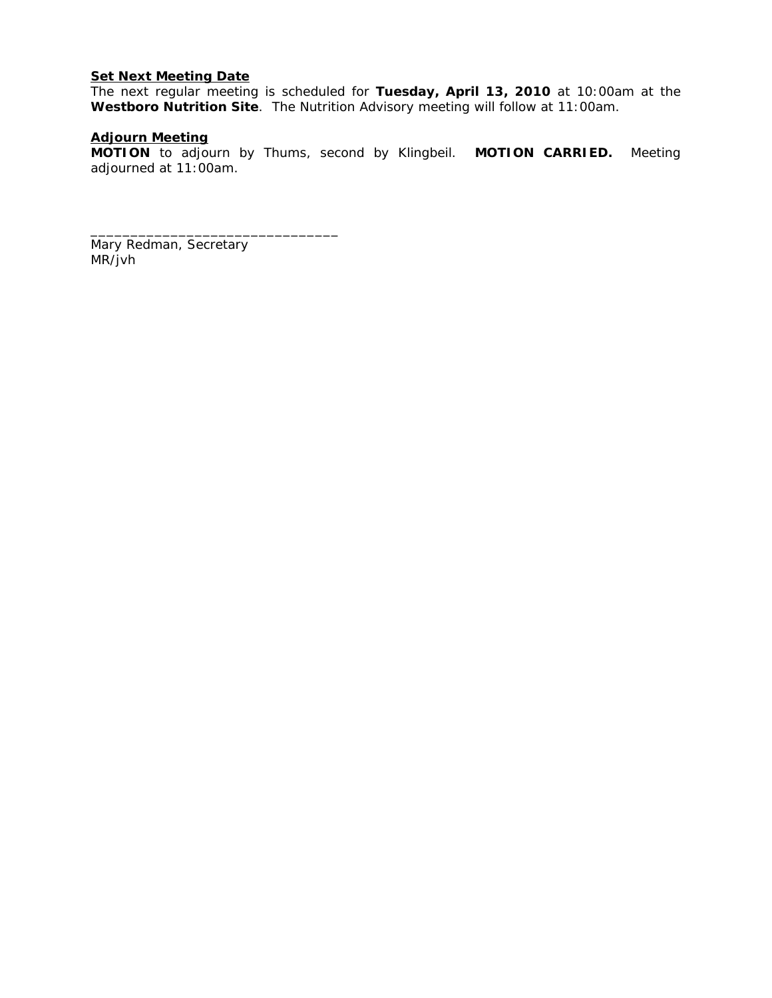# **Set Next Meeting Date**

The next regular meeting is scheduled for **Tuesday, April 13, 2010** at 10:00am at the **Westboro Nutrition Site**. The Nutrition Advisory meeting will follow at 11:00am.

# **Adjourn Meeting**

**MOTION** to adjourn by Thums, second by Klingbeil. **MOTION CARRIED.** Meeting adjourned at 11:00am.

Mary Redman, Secretary MR/jvh

\_\_\_\_\_\_\_\_\_\_\_\_\_\_\_\_\_\_\_\_\_\_\_\_\_\_\_\_\_\_\_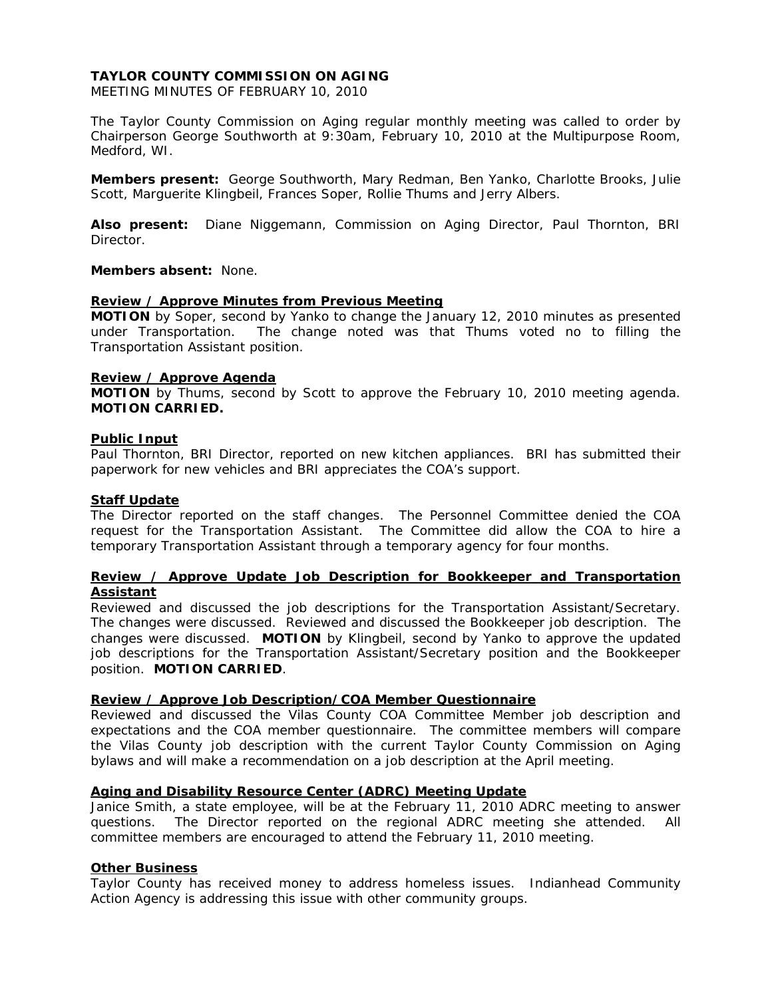MEETING MINUTES OF FEBRUARY 10, 2010

The Taylor County Commission on Aging regular monthly meeting was called to order by Chairperson George Southworth at 9:30am, February 10, 2010 at the Multipurpose Room, Medford, WI.

**Members present:** George Southworth, Mary Redman, Ben Yanko, Charlotte Brooks, Julie Scott, Marguerite Klingbeil, Frances Soper, Rollie Thums and Jerry Albers.

**Also present:** Diane Niggemann, Commission on Aging Director, Paul Thornton, BRI Director.

## **Members absent:** None.

### **Review / Approve Minutes from Previous Meeting**

**MOTION** by Soper, second by Yanko to change the January 12, 2010 minutes as presented under Transportation. The change noted was that Thums voted no to filling the Transportation Assistant position.

### **Review / Approve Agenda**

**MOTION** by Thums, second by Scott to approve the February 10, 2010 meeting agenda. **MOTION CARRIED.** 

### **Public Input**

Paul Thornton, BRI Director, reported on new kitchen appliances. BRI has submitted their paperwork for new vehicles and BRI appreciates the COA's support.

### **Staff Update**

The Director reported on the staff changes. The Personnel Committee denied the COA request for the Transportation Assistant. The Committee did allow the COA to hire a temporary Transportation Assistant through a temporary agency for four months.

## **Review / Approve Update Job Description for Bookkeeper and Transportation Assistant**

Reviewed and discussed the job descriptions for the Transportation Assistant/Secretary. The changes were discussed. Reviewed and discussed the Bookkeeper job description. The changes were discussed. **MOTION** by Klingbeil, second by Yanko to approve the updated job descriptions for the Transportation Assistant/Secretary position and the Bookkeeper position. **MOTION CARRIED**.

## **Review / Approve Job Description/COA Member Questionnaire**

Reviewed and discussed the Vilas County COA Committee Member job description and expectations and the COA member questionnaire. The committee members will compare the Vilas County job description with the current Taylor County Commission on Aging bylaws and will make a recommendation on a job description at the April meeting.

# **Aging and Disability Resource Center (ADRC) Meeting Update**

Janice Smith, a state employee, will be at the February 11, 2010 ADRC meeting to answer questions. The Director reported on the regional ADRC meeting she attended. All committee members are encouraged to attend the February 11, 2010 meeting.

## **Other Business**

Taylor County has received money to address homeless issues. Indianhead Community Action Agency is addressing this issue with other community groups.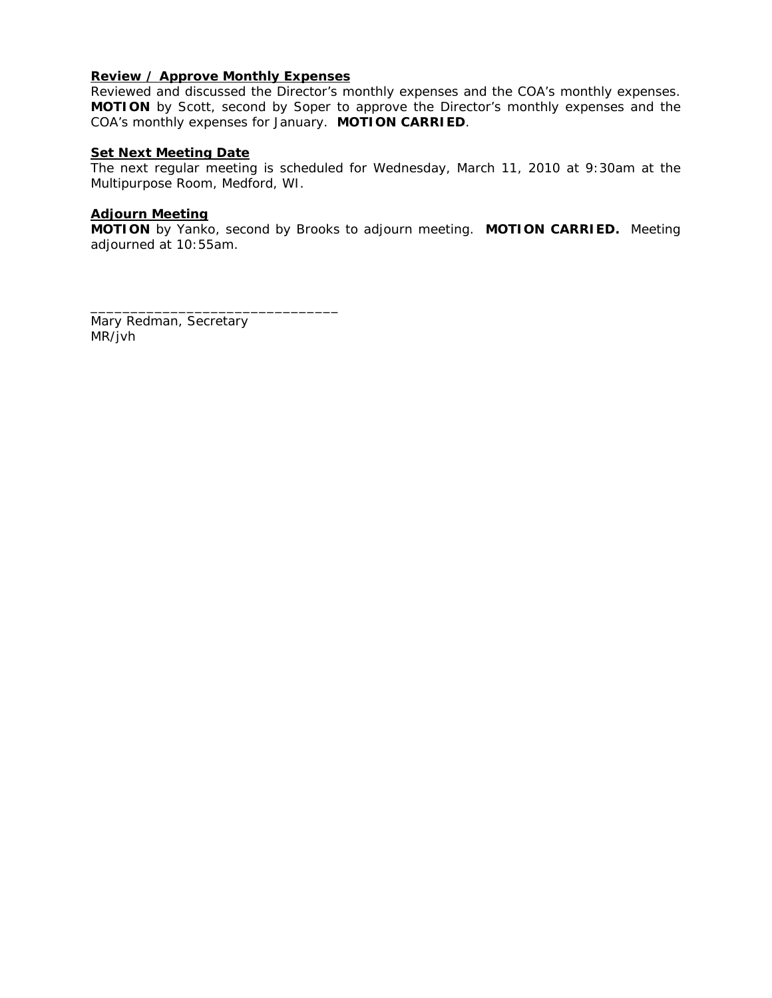# **Review / Approve Monthly Expenses**

\_\_\_\_\_\_\_\_\_\_\_\_\_\_\_\_\_\_\_\_\_\_\_\_\_\_\_\_\_\_\_

Reviewed and discussed the Director's monthly expenses and the COA's monthly expenses. **MOTION** by Scott, second by Soper to approve the Director's monthly expenses and the COA's monthly expenses for January. **MOTION CARRIED**.

# **Set Next Meeting Date**

The next regular meeting is scheduled for Wednesday, March 11, 2010 at 9:30am at the Multipurpose Room, Medford, WI.

## **Adjourn Meeting**

**MOTION** by Yanko, second by Brooks to adjourn meeting. **MOTION CARRIED.** Meeting adjourned at 10:55am.

Mary Redman, Secretary MR/jvh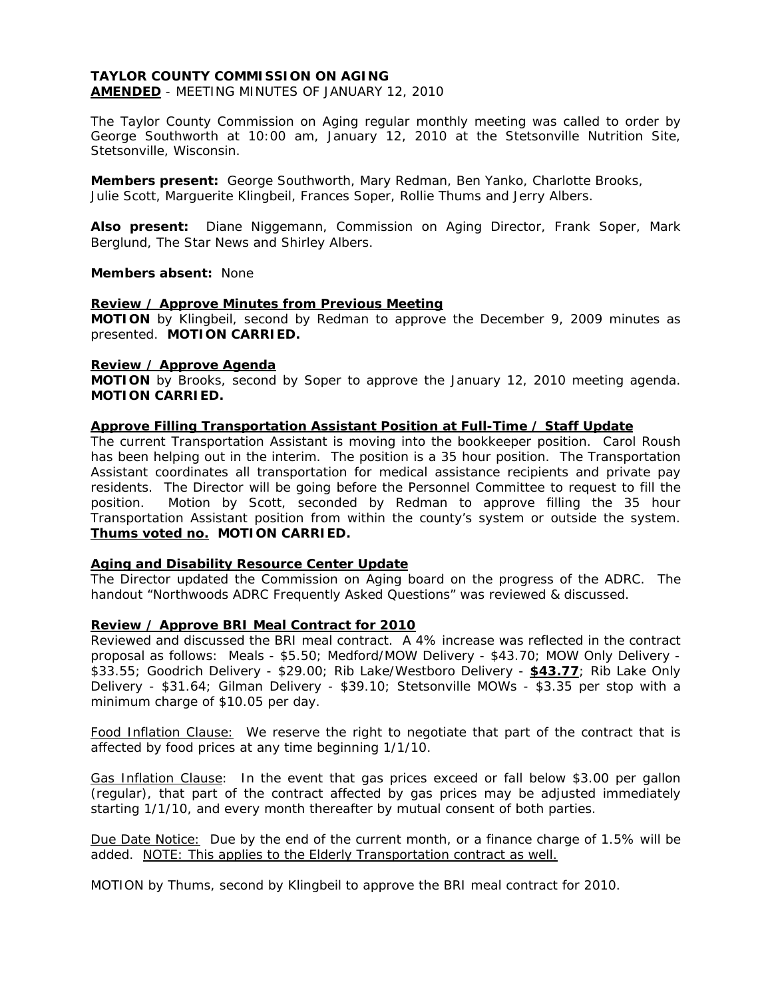### **TAYLOR COUNTY COMMISSION ON AGING AMENDED** - MEETING MINUTES OF JANUARY 12, 2010

The Taylor County Commission on Aging regular monthly meeting was called to order by George Southworth at 10:00 am, January 12, 2010 at the Stetsonville Nutrition Site,

**Members present:** George Southworth, Mary Redman, Ben Yanko, Charlotte Brooks, Julie Scott, Marguerite Klingbeil, Frances Soper, Rollie Thums and Jerry Albers.

**Also present:** Diane Niggemann, Commission on Aging Director, Frank Soper, Mark Berglund, The Star News and Shirley Albers.

## **Members absent:** None

Stetsonville, Wisconsin.

## **Review / Approve Minutes from Previous Meeting**

**MOTION** by Klingbeil, second by Redman to approve the December 9, 2009 minutes as presented. **MOTION CARRIED.** 

## **Review / Approve Agenda**

**MOTION** by Brooks, second by Soper to approve the January 12, 2010 meeting agenda. **MOTION CARRIED.** 

## **Approve Filling Transportation Assistant Position at Full-Time / Staff Update**

The current Transportation Assistant is moving into the bookkeeper position. Carol Roush has been helping out in the interim. The position is a 35 hour position. The Transportation Assistant coordinates all transportation for medical assistance recipients and private pay residents. The Director will be going before the Personnel Committee to request to fill the position. Motion by Scott, seconded by Redman to approve filling the 35 hour Transportation Assistant position from within the county's system or outside the system. **Thums voted no. MOTION CARRIED.** 

# **Aging and Disability Resource Center Update**

The Director updated the Commission on Aging board on the progress of the ADRC. The handout "Northwoods ADRC Frequently Asked Questions" was reviewed & discussed.

# **Review / Approve BRI Meal Contract for 2010**

Reviewed and discussed the BRI meal contract. A 4% increase was reflected in the contract proposal as follows: Meals - \$5.50; Medford/MOW Delivery - \$43.70; MOW Only Delivery - \$33.55; Goodrich Delivery - \$29.00; Rib Lake/Westboro Delivery - **\$43.77**; Rib Lake Only Delivery - \$31.64; Gilman Delivery - \$39.10; Stetsonville MOWs - \$3.35 per stop with a minimum charge of \$10.05 per day.

Food Inflation Clause: We reserve the right to negotiate that part of the contract that is affected by food prices at any time beginning 1/1/10.

Gas Inflation Clause: In the event that gas prices exceed or fall below \$3.00 per gallon (regular), that part of the contract affected by gas prices may be adjusted immediately starting 1/1/10, and every month thereafter by mutual consent of both parties.

Due Date Notice: Due by the end of the current month, or a finance charge of 1.5% will be added. NOTE: This applies to the Elderly Transportation contract as well.

MOTION by Thums, second by Klingbeil to approve the BRI meal contract for 2010.